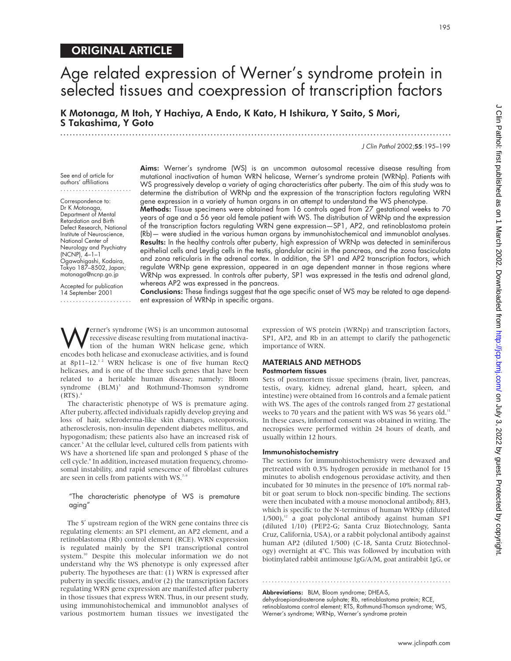# ORIGINAL ARTICLE

# Age related expression of Werner's syndrome protein in selected tissues and coexpression of transcription factors

K Motonaga, M Itoh, Y Hachiya, A Endo, K Kato, H Ishikura, Y Saito, S Mori, S Takashima, Y Goto .............................................................................................................................

J Clin Pathol 2002;55:195–199

See end of article for authors' affiliations .......................

Correspondence to: Dr K Motonaga, Department of Mental Retardation and Birth Defect Research, National Institute of Neuroscience, National Center of Neurology and Psychiatry (NCNP), 4–1–1 Ogawahigashi, Kodaira, Tokyo 187–8502, Japan; motonaga@ncnp.go.jp

Accepted for publication 14 September 2001

.......................

Aims: Werner's syndrome (WS) is an uncommon autosomal recessive disease resulting from mutational inactivation of human WRN helicase, Werner's syndrome protein (WRNp). Patients with WS progressively develop a variety of aging characteristics after puberty. The aim of this study was to determine the distribution of WRNp and the expression of the transcription factors regulating WRN gene expression in a variety of human organs in an attempt to understand the WS phenotype.

Methods: Tissue specimens were obtained from 16 controls aged from 27 gestational weeks to 70 years of age and a 56 year old female patient with WS. The distribution of WRNp and the expression of the transcription factors regulating WRN gene expression—SP1, AP2, and retinoblastoma protein (Rb)— were studied in the various human organs by immunohistochemical and immunoblot analyses. Results: In the healthy controls after puberty, high expression of WRNp was detected in seminiferous epithelial cells and Leydig cells in the testis, glandular acini in the pancreas, and the zona fasciculata and zona reticularis in the adrenal cortex. In addition, the SP1 and AP2 transcription factors, which regulate WRNp gene expression, appeared in an age dependent manner in those regions where WRNp was expressed. In controls after puberty, SP1 was expressed in the testis and adrenal gland, whereas AP2 was expressed in the pancreas.

Conclusions: These findings suggest that the age specific onset of WS may be related to age dependent expression of WRNp in specific organs.

**Werner's syndrome (WS) is an uncommon autosomal processive disease resulting from mutational inactivation**<br>tion of the human WRN helicase gene, which<br>encodes both helicase and exonuclease activities and is found recessive disease resulting from mutational inactivation of the human WRN helicase gene, which encodes both helicase and exonuclease activities, and is found at 8p11–12.<sup>12</sup> WRN helicase is one of five human RecQ helicases, and is one of the three such genes that have been related to a heritable human disease; namely: Bloom syndrome  $(BLM)^3$  and Rothmund-Thomson syndrome  $(RTS).<sup>4</sup>$ 

The characteristic phenotype of WS is premature aging. After puberty, affected individuals rapidly develop greying and loss of hair, scleroderma-like skin changes, osteoporosis, atherosclerosis, non-insulin dependent diabetes mellitus, and hypogonadism; these patients also have an increased risk of cancer.5 At the cellular level, cultured cells from patients with WS have a shortened life span and prolonged S phase of the cell cycle.<sup>6</sup> In addition, increased mutation frequency, chromosomal instability, and rapid senescence of fibroblast cultures are seen in cells from patients with WS.<sup>7-9</sup>

# "The characteristic phenotype of WS is premature aging"

The 5′ upstream region of the WRN gene contains three cis regulating elements: an SP1 element, an AP2 element, and a retinoblastoma (Rb) control element (RCE). WRN expression is regulated mainly by the SP1 transcriptional control system.10 Despite this molecular information we do not understand why the WS phenotype is only expressed after puberty. The hypotheses are that: (1) WRN is expressed after puberty in specific tissues, and/or (2) the transcription factors regulating WRN gene expression are manifested after puberty in those tissues that express WRN. Thus, in our present study, using immunohistochemical and immunoblot analyses of various postmortem human tissues we investigated the

expression of WS protein (WRNp) and transcription factors, SP1, AP2, and Rb in an attempt to clarify the pathogenetic importance of WRN.

### MATERIALS AND METHODS Postmortem tissues

Sets of postmortem tissue specimens (brain, liver, pancreas, testis, ovary, kidney, adrenal gland, heart, spleen, and intestine) were obtained from 16 controls and a female patient with WS. The ages of the controls ranged from 27 gestational weeks to 70 years and the patient with WS was 56 years old.<sup>11</sup> In these cases, informed consent was obtained in writing. The necropsies were performed within 24 hours of death, and usually within 12 hours.

#### Immunohistochemistry

The sections for immunohistochemistry were dewaxed and pretreated with 0.3% hydrogen peroxide in methanol for 15 minutes to abolish endogenous peroxidase activity, and then incubated for 30 minutes in the presence of 10% normal rabbit or goat serum to block non-specific binding. The sections were then incubated with a mouse monoclonal antibody, 8H3, which is specific to the N-terminus of human WRNp (diluted  $1/500$ ,<sup>12</sup> a goat polyclonal antibody against human SP1 (diluted 1/10) (PEP2-G; Santa Cruz Biotechnology, Santa Cruz, California, USA), or a rabbit polyclonal antibody against human AP2 (diluted 1/500) (C-18, Santa Crutz Biotechnology) overnight at 4°C. This was followed by incubation with biotinylated rabbit antimouse IgG/A/M, goat antirabbit IgG, or

Abbreviations: BLM, Bloom syndrome; DHEA-S, dehydroepiandrosterone sulphate; Rb, retinoblastoma protein; RCE, retinoblastoma control element; RTS, Rothmund-Thomson syndrome; WS, Werner's syndrome; WRNp, Werner's syndrome protein

.............................................................

www.jclinpath.com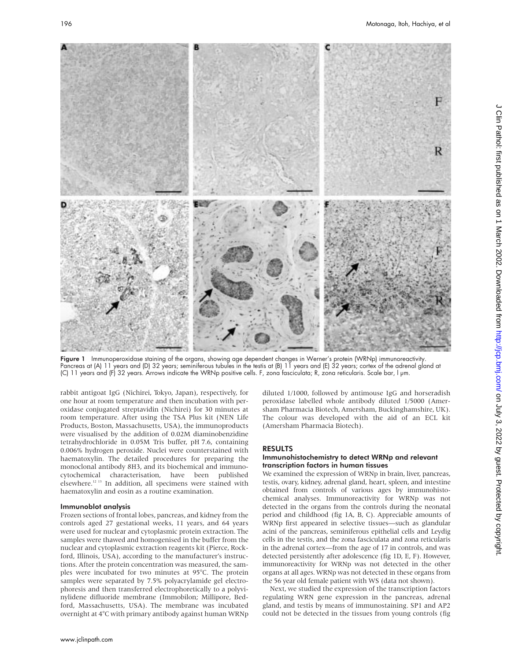

Figure 1 Immunoperoxidase staining of the organs, showing age dependent changes in Werner's protein (WRNp) immunoreactivity. Pancreas at (A) 11 years and (D) 32 years; seminiferous tubules in the testis at (B) 11 years and (E) 32 years; cortex of the adrenal gland at (C) 11 years and (F) 32 years. Arrows indicate the WRNp positive cells. F, zona fasciculata; R, zona reticularis. Scale bar, l µm.

rabbit antigoat IgG (Nichirei, Tokyo, Japan), respectively, for one hour at room temperature and then incubation with peroxidase conjugated streptavidin (Nichirei) for 30 minutes at room temperature. After using the TSA Plus kit (NEN Life Products, Boston, Massachusetts, USA), the immunoproducts were visualised by the addition of 0.02M diaminobenzidine tetrahydrochloride in 0.05M Tris buffer, pH 7.6, containing 0.006% hydrogen peroxide. Nuclei were counterstained with haematoxylin. The detailed procedures for preparing the monoclonal antibody 8H3, and its biochemical and immunocytochemical characterisation, have been published elsewhere.<sup>12 13</sup> In addition, all specimens were stained with haematoxylin and eosin as a routine examination.

# Immunoblot analysis

Frozen sections of frontal lobes, pancreas, and kidney from the controls aged 27 gestational weeks, 11 years, and 64 years were used for nuclear and cytoplasmic protein extraction. The samples were thawed and homogenised in the buffer from the nuclear and cytoplasmic extraction reagents kit (Pierce, Rockford, Illinois, USA), according to the manufacturer's instructions. After the protein concentration was measured, the samples were incubated for two minutes at 95°C. The protein samples were separated by 7.5% polyacrylamide gel electrophoresis and then transferred electrophoretically to a polyvinylidene difluoride membrane (Immobilon; Millipore, Bedford, Massachusetts, USA). The membrane was incubated overnight at 4°C with primary antibody against human WRNp

diluted 1/1000, followed by antimouse IgG and horseradish peroxidase labelled whole antibody diluted 1/5000 (Amersham Pharmacia Biotech, Amersham, Buckinghamshire, UK). The colour was developed with the aid of an ECL kit (Amersham Pharmacia Biotech).

# RESULTS

# Immunohistochemistry to detect WRNp and relevant transcription factors in human tissues

We examined the expression of WRNp in brain, liver, pancreas, testis, ovary, kidney, adrenal gland, heart, spleen, and intestine obtained from controls of various ages by immunohistochemical analyses. Immunoreactivity for WRNp was not detected in the organs from the controls during the neonatal period and childhood (fig 1A, B, C). Appreciable amounts of WRNp first appeared in selective tissues—such as glandular acini of the pancreas, seminiferous epithelial cells and Leydig cells in the testis, and the zona fasciculata and zona reticularis in the adrenal cortex—from the age of 17 in controls, and was detected persistently after adolescence (fig 1D, E, F). However, immunoreactivity for WRNp was not detected in the other organs at all ages. WRNp was not detected in these organs from the 56 year old female patient with WS (data not shown).

Next, we studied the expression of the transcription factors regulating WRN gene expression in the pancreas, adrenal gland, and testis by means of immunostaining. SP1 and AP2 could not be detected in the tissues from young controls (fig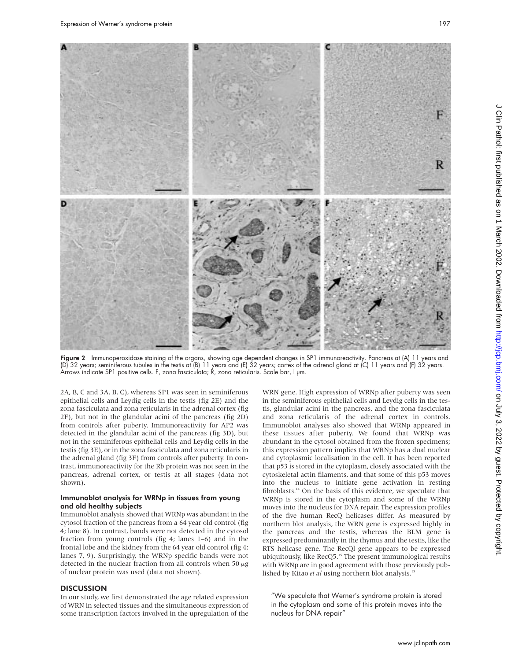

**Figure 2** Immunoperoxidase staining of the organs, showing age dependent changes in SP1 immunoreactivity. Pancreas at (A) 11 years and (D) 32 years; seminiferous tubules in the testis at (B) 11 years and (E) 32 years; cortex of the adrenal gland at (C) 11 years and (F) 32 years. Arrows indicate SP1 positive cells. F, zona fasciculata; R, zona reticularis. Scale bar, I µm.

2A, B, C and 3A, B, C), whereas SP1 was seen in seminiferous epithelial cells and Leydig cells in the testis (fig 2E) and the zona fasciculata and zona reticularis in the adrenal cortex (fig 2F), but not in the glandular acini of the pancreas (fig 2D) from controls after puberty. Immunoreactivity for AP2 was detected in the glandular acini of the pancreas (fig 3D), but not in the seminiferous epithelial cells and Leydig cells in the testis (fig 3E), or in the zona fasciculata and zona reticularis in the adrenal gland (fig 3F) from controls after puberty. In contrast, immunoreactivity for the Rb protein was not seen in the pancreas, adrenal cortex, or testis at all stages (data not shown).

## Immunoblot analysis for WRNp in tissues from young and old healthy subjects

Immunoblot analysis showed that WRNp was abundant in the cytosol fraction of the pancreas from a 64 year old control (fig 4; lane 8). In contrast, bands were not detected in the cytosol fraction from young controls (fig 4; lanes 1–6) and in the frontal lobe and the kidney from the 64 year old control (fig 4; lanes 7, 9). Surprisingly, the WRNp specific bands were not detected in the nuclear fraction from all controls when 50  $\mu$ g of nuclear protein was used (data not shown).

# **DISCUSSION**

In our study, we first demonstrated the age related expression of WRN in selected tissues and the simultaneous expression of some transcription factors involved in the upregulation of the WRN gene. High expression of WRNp after puberty was seen in the seminiferous epithelial cells and Leydig cells in the testis, glandular acini in the pancreas, and the zona fasciculata and zona reticularis of the adrenal cortex in controls. Immunoblot analyses also showed that WRNp appeared in these tissues after puberty. We found that WRNp was abundant in the cytosol obtained from the frozen specimens; this expression pattern implies that WRNp has a dual nuclear and cytoplasmic localisation in the cell. It has been reported that p53 is stored in the cytoplasm, closely associated with the cytoskeletal actin filaments, and that some of this p53 moves into the nucleus to initiate gene activation in resting fibroblasts.<sup>14</sup> On the basis of this evidence, we speculate that WRNp is stored in the cytoplasm and some of the WRNp moves into the nucleus for DNA repair. The expression profiles of the five human RecQ helicases differ. As measured by northern blot analysis, the WRN gene is expressed highly in the pancreas and the testis, whereas the BLM gene is expressed predominantly in the thymus and the testis, like the RTS helicase gene. The RecQl gene appears to be expressed ubiquitously, like RecQ5.15 The present immunological results with WRNp are in good agreement with those previously published by Kitao *et al* using northern blot analysis.15

"We speculate that Werner's syndrome protein is stored in the cytoplasm and some of this protein moves into the nucleus for DNA repair"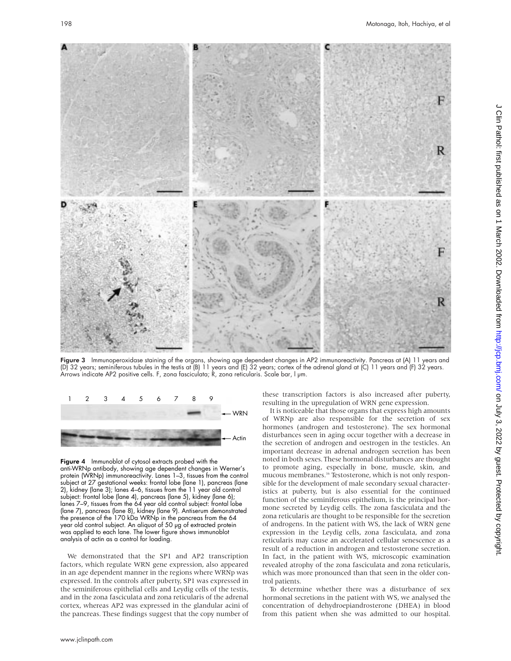

Figure 3 Immunoperoxidase staining of the organs, showing age dependent changes in AP2 immunoreactivity. Pancreas at (A) 11 years and (D) 32 years; seminiferous tubules in the testis at (B) 11 years and (E) 32 years; cortex of the adrenal gland at (C) 11 years and (F) 32 years. Arrows indicate AP2 positive cells. F, zona fasciculata; R, zona reticularis. Scale bar, l µm.



Figure 4 Immunoblot of cytosol extracts probed with the anti-WRNp antibody, showing age dependent changes in Werner's protein (WRNp) immunoreactivity. Lanes 1–3, tissues from the control subject at 27 gestational weeks: frontal lobe (lane 1), pancreas (lane 2), kidney (lane 3); lanes 4–6, tissues from the 11 year old control subject: frontal lobe (lane 4), pancreas (lane 5), kidney (lane 6); lanes 7–9, tissues from the 64 year old control subject: frontal lobe (lane 7), pancreas (lane 8), kidney (lane 9). Antiserum demonstrated the presence of the 170 kDa WRNp in the pancreas from the 64 year old control subject. An aliquot of 50 µg of extracted protein was applied to each lane. The lower figure shows immunoblot analysis of actin as a control for loading.

We demonstrated that the SP1 and AP2 transcription factors, which regulate WRN gene expression, also appeared in an age dependent manner in the regions where WRNp was expressed. In the controls after puberty, SP1 was expressed in the seminiferous epithelial cells and Leydig cells of the testis, and in the zona fasciculata and zona reticularis of the adrenal cortex, whereas AP2 was expressed in the glandular acini of the pancreas. These findings suggest that the copy number of these transcription factors is also increased after puberty, resulting in the upregulation of WRN gene expression.

It is noticeable that those organs that express high amounts of WRNp are also responsible for the secretion of sex hormones (androgen and testosterone). The sex hormonal disturbances seen in aging occur together with a decrease in the secretion of androgen and oestrogen in the testicles. An important decrease in adrenal androgen secretion has been noted in both sexes. These hormonal disturbances are thought to promote aging, especially in bone, muscle, skin, and mucous membranes.<sup>16</sup> Testosterone, which is not only responsible for the development of male secondary sexual characteristics at puberty, but is also essential for the continued function of the seminiferous epithelium, is the principal hormone secreted by Leydig cells. The zona fasciculata and the zona reticularis are thought to be responsible for the secretion of androgens. In the patient with WS, the lack of WRN gene expression in the Leydig cells, zona fasciculata, and zona reticularis may cause an accelerated cellular senescence as a result of a reduction in androgen and testosterone secretion. In fact, in the patient with WS, microscopic examination revealed atrophy of the zona fasciculata and zona reticularis, which was more pronounced than that seen in the older control patients.

To determine whether there was a disturbance of sex hormonal secretions in the patient with WS, we analysed the concentration of dehydroepiandrosterone (DHEA) in blood from this patient when she was admitted to our hospital.